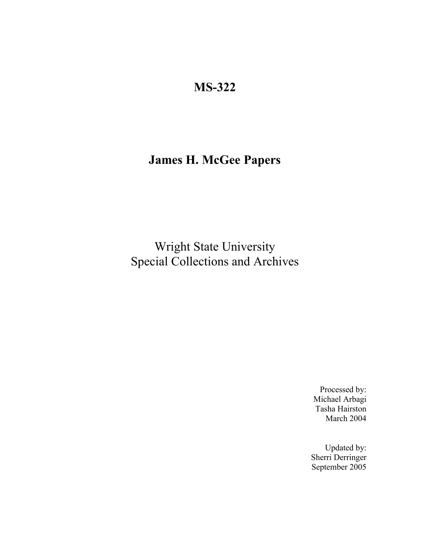# **MS-322**

# **James H. McGee Papers**

Wright State University Special Collections and Archives

> Processed by: Michael Arbagi Tasha Hairston March 2004

Updated by: Sherri Derringer September 2005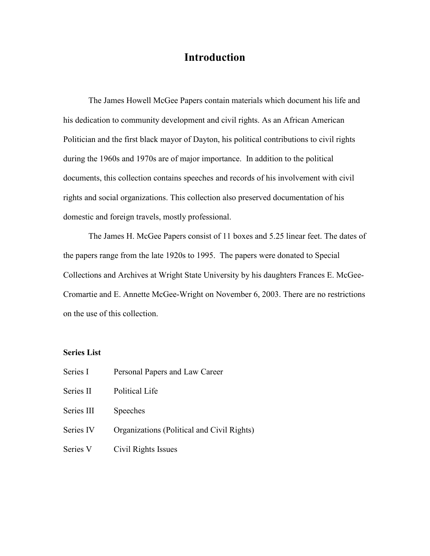### **Introduction**

The James Howell McGee Papers contain materials which document his life and his dedication to community development and civil rights. As an African American Politician and the first black mayor of Dayton, his political contributions to civil rights during the 1960s and 1970s are of major importance. In addition to the political documents, this collection contains speeches and records of his involvement with civil rights and social organizations. This collection also preserved documentation of his domestic and foreign travels, mostly professional.

The James H. McGee Papers consist of 11 boxes and 5.25 linear feet. The dates of the papers range from the late 1920s to 1995. The papers were donated to Special Collections and Archives at Wright State University by his daughters Frances E. McGee-Cromartie and E. Annette McGee-Wright on November 6, 2003. There are no restrictions on the use of this collection.

#### **Series List**

| Series I   | Personal Papers and Law Career             |
|------------|--------------------------------------------|
| Series II  | Political Life                             |
| Series III | Speeches                                   |
| Series IV  | Organizations (Political and Civil Rights) |
| Series V   | Civil Rights Issues                        |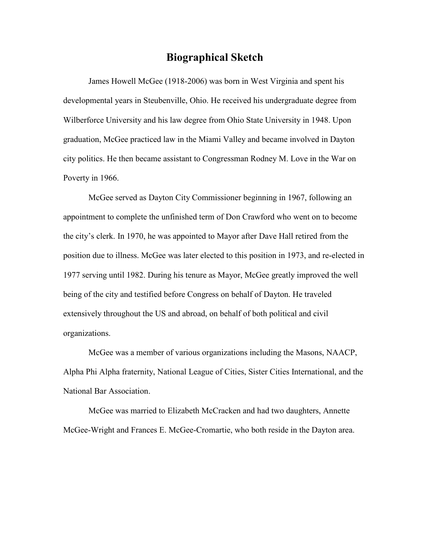### **Biographical Sketch**

James Howell McGee (1918-2006) was born in West Virginia and spent his developmental years in Steubenville, Ohio. He received his undergraduate degree from Wilberforce University and his law degree from Ohio State University in 1948. Upon graduation, McGee practiced law in the Miami Valley and became involved in Dayton city politics. He then became assistant to Congressman Rodney M. Love in the War on Poverty in 1966.

McGee served as Dayton City Commissioner beginning in 1967, following an appointment to complete the unfinished term of Don Crawford who went on to become the city's clerk. In 1970, he was appointed to Mayor after Dave Hall retired from the position due to illness. McGee was later elected to this position in 1973, and re-elected in 1977 serving until 1982. During his tenure as Mayor, McGee greatly improved the well being of the city and testified before Congress on behalf of Dayton. He traveled extensively throughout the US and abroad, on behalf of both political and civil organizations.

McGee was a member of various organizations including the Masons, NAACP, Alpha Phi Alpha fraternity, National League of Cities, Sister Cities International, and the National Bar Association.

McGee was married to Elizabeth McCracken and had two daughters, Annette McGee-Wright and Frances E. McGee-Cromartie, who both reside in the Dayton area.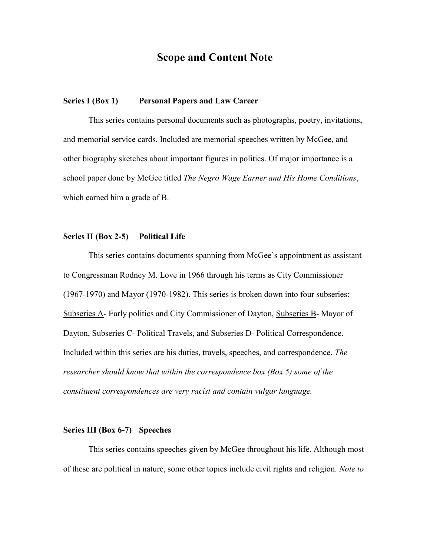### **Scope and Content Note**

#### **Series I (Box 1) Personal Papers and Law Career**

This series contains personal documents such as photographs, poetry, invitations, and memorial service cards. Included are memorial speeches written by McGee, and other biography sketches about important figures in politics. Of major importance is a school paper done by McGee titled *The Negro Wage Earner and His Home Conditions*, which earned him a grade of B.

#### **Series II (Box 2-5) Political Life**

This series contains documents spanning from McGee's appointment as assistant to Congressman Rodney M. Love in 1966 through his terms as City Commissioner (1967-1970) and Mayor (1970-1982). This series is broken down into four subseries: Subseries A- Early politics and City Commissioner of Dayton, Subseries B- Mayor of Dayton, Subseries C- Political Travels, and Subseries D- Political Correspondence. Included within this series are his duties, travels, speeches, and correspondence. *The researcher should know that within the correspondence box (Box 5) some of the constituent correspondences are very racist and contain vulgar language.*

#### **Series III (Box 6-7) Speeches**

This series contains speeches given by McGee throughout his life. Although most of these are political in nature, some other topics include civil rights and religion. *Note to*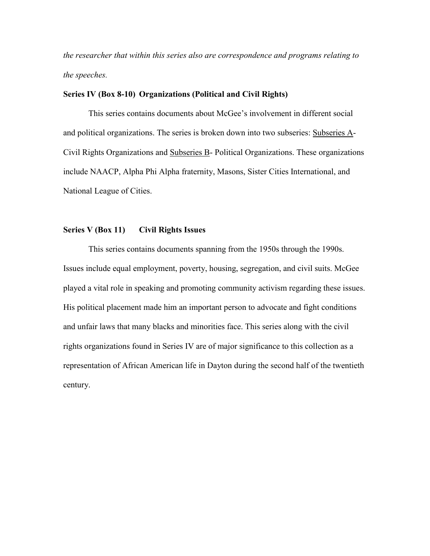*the researcher that within this series also are correspondence and programs relating to the speeches.*

#### **Series IV (Box 8-10) Organizations (Political and Civil Rights)**

This series contains documents about McGee's involvement in different social and political organizations. The series is broken down into two subseries: Subseries A-Civil Rights Organizations and Subseries B- Political Organizations. These organizations include NAACP, Alpha Phi Alpha fraternity, Masons, Sister Cities International, and National League of Cities.

#### **Series V (Box 11) Civil Rights Issues**

This series contains documents spanning from the 1950s through the 1990s. Issues include equal employment, poverty, housing, segregation, and civil suits. McGee played a vital role in speaking and promoting community activism regarding these issues. His political placement made him an important person to advocate and fight conditions and unfair laws that many blacks and minorities face. This series along with the civil rights organizations found in Series IV are of major significance to this collection as a representation of African American life in Dayton during the second half of the twentieth century.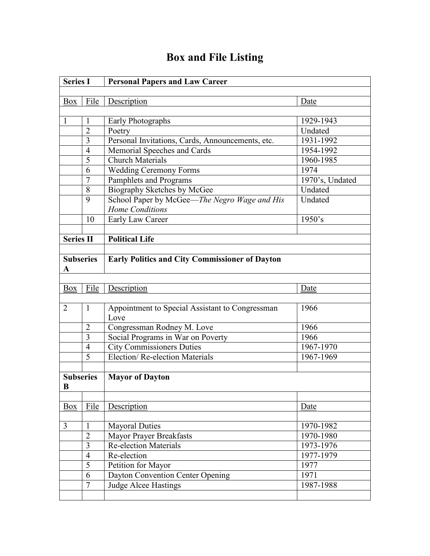### **Series I Personal Papers and Law Career** Box File Description Date 1 | 1 | Early Photographs | 1929-1943 2 Poetry Undated 3 Personal Invitations, Cards, Announcements, etc. 1931-1992 4 | Memorial Speeches and Cards | 1954-1992 5 Church Materials 1960-1985 6 | Wedding Ceremony Forms | 1974 7 Pamphlets and Programs 1970's, Undated 8 Biography Sketches by McGee Undated 9 School Paper by McGee—*The Negro Wage and His Home Conditions* Undated 10 Early Law Career 1950's **Series II Political Life Subseries A Early Politics and City Commissioner of Dayton** Box File Description Date 2 | 1 | Appointment to Special Assistant to Congressman Love 1966 2 Congressman Rodney M. Love 1966 3 Social Programs in War on Poverty 1966 4 City Commissioners Duties 1967-1970 5 Election/ Re-election Materials 1967-1969 **Subseries B Mayor of Dayton** Box File Description Date 3 | 1 | Mayoral Duties | 1970-1982 2 | Mayor Prayer Breakfasts | 1970-1980 3 Re-election Materials 1973-1976 4 Re-election 1977-1979 5 Petition for Mayor 1977 6 Dayton Convention Center Opening 1971 7 Judge Alcee Hastings 1987-1988

## **Box and File Listing**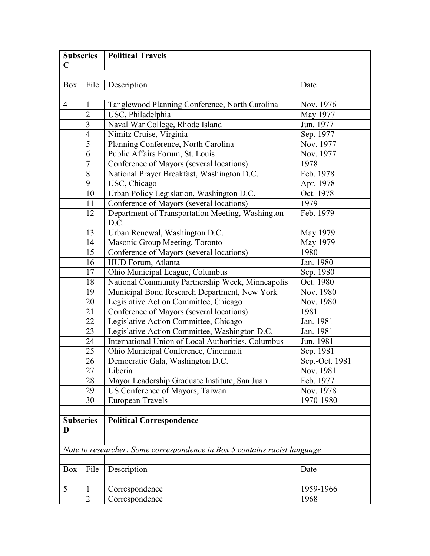| <b>Subseries</b><br>$\mathbf C$                                           |                | <b>Political Travels</b>                                 |                |  |
|---------------------------------------------------------------------------|----------------|----------------------------------------------------------|----------------|--|
|                                                                           |                |                                                          |                |  |
| Box                                                                       | File           | Description                                              | Date           |  |
| $\overline{4}$                                                            | 1              | Tanglewood Planning Conference, North Carolina           | Nov. 1976      |  |
|                                                                           | $\overline{2}$ | USC, Philadelphia                                        | May 1977       |  |
|                                                                           | 3              | Naval War College, Rhode Island                          | Jun. 1977      |  |
|                                                                           | $\overline{4}$ | Nimitz Cruise, Virginia                                  | Sep. 1977      |  |
|                                                                           | 5              | Planning Conference, North Carolina                      | Nov. 1977      |  |
|                                                                           | 6              | Public Affairs Forum, St. Louis                          | Nov. 1977      |  |
|                                                                           | $\overline{7}$ | Conference of Mayors (several locations)                 | 1978           |  |
|                                                                           | 8              | National Prayer Breakfast, Washington D.C.               | Feb. 1978      |  |
|                                                                           | 9              | USC, Chicago                                             | Apr. 1978      |  |
|                                                                           | 10             | Urban Policy Legislation, Washington D.C.                | Oct. 1978      |  |
|                                                                           | 11             | Conference of Mayors (several locations)                 | 1979           |  |
|                                                                           | 12             | Department of Transportation Meeting, Washington<br>D.C. | Feb. 1979      |  |
|                                                                           | 13             | Urban Renewal, Washington D.C.                           | May 1979       |  |
|                                                                           | 14             | Masonic Group Meeting, Toronto                           | May 1979       |  |
|                                                                           | 15             | Conference of Mayors (several locations)                 | 1980           |  |
|                                                                           | 16             | HUD Forum, Atlanta                                       | Jan. 1980      |  |
|                                                                           | 17             | Ohio Municipal League, Columbus                          | Sep. 1980      |  |
|                                                                           | 18             | National Community Partnership Week, Minneapolis         | Oct. 1980      |  |
|                                                                           | 19             | Municipal Bond Research Department, New York             | Nov. 1980      |  |
|                                                                           | 20             | Legislative Action Committee, Chicago                    | Nov. 1980      |  |
|                                                                           | 21             | Conference of Mayors (several locations)                 | 1981           |  |
|                                                                           | 22             | Legislative Action Committee, Chicago                    | Jan. 1981      |  |
|                                                                           | 23             | Legislative Action Committee, Washington D.C.            | Jan. 1981      |  |
|                                                                           | 24             | International Union of Local Authorities, Columbus       | Jun. 1981      |  |
|                                                                           | 25             | Ohio Municipal Conference, Cincinnati                    | Sep. 1981      |  |
|                                                                           | 26             | Democratic Gala, Washington D.C.                         | Sep.-Oct. 1981 |  |
|                                                                           | 27             | Liberia                                                  | Nov. 1981      |  |
|                                                                           | 28             | Mayor Leadership Graduate Institute, San Juan            | Feb. 1977      |  |
|                                                                           | 29             | US Conference of Mayors, Taiwan                          | Nov. 1978      |  |
|                                                                           | 30             | European Travels                                         | 1970-1980      |  |
| <b>Subseries</b><br><b>Political Correspondence</b><br>D                  |                |                                                          |                |  |
| Note to researcher: Some correspondence in Box 5 contains racist language |                |                                                          |                |  |
|                                                                           |                |                                                          |                |  |
| <b>Box</b>                                                                | File           | Description                                              | Date           |  |
|                                                                           |                |                                                          |                |  |
| 5                                                                         | 1              | Correspondence                                           | 1959-1966      |  |
|                                                                           | $\overline{2}$ | Correspondence                                           | 1968           |  |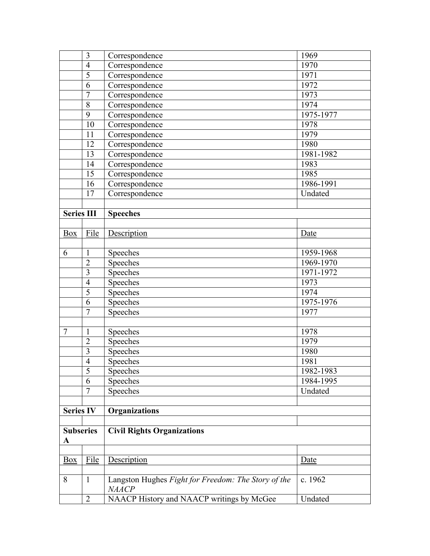|                   | 3              | Correspondence                                                      | 1969      |
|-------------------|----------------|---------------------------------------------------------------------|-----------|
|                   | $\overline{4}$ | Correspondence                                                      | 1970      |
|                   | $\overline{5}$ | Correspondence                                                      | 1971      |
|                   | 6              | Correspondence                                                      | 1972      |
|                   | $\overline{7}$ | Correspondence                                                      | 1973      |
|                   | 8              | Correspondence                                                      | 1974      |
|                   | 9              | Correspondence                                                      | 1975-1977 |
|                   | 10             | Correspondence                                                      | 1978      |
|                   | 11             | Correspondence                                                      | 1979      |
|                   | 12             | Correspondence                                                      | 1980      |
|                   | 13             | Correspondence                                                      | 1981-1982 |
|                   | 14             | Correspondence                                                      | 1983      |
|                   | 15             | Correspondence                                                      | 1985      |
|                   | 16             | Correspondence                                                      | 1986-1991 |
|                   | 17             | Correspondence                                                      | Undated   |
|                   |                |                                                                     |           |
| <b>Series III</b> |                | <b>Speeches</b>                                                     |           |
|                   |                |                                                                     |           |
| Box               | File           | Description                                                         | Date      |
|                   |                |                                                                     |           |
| 6                 | $\mathbf{1}$   | Speeches                                                            | 1959-1968 |
|                   | $\overline{2}$ | Speeches                                                            | 1969-1970 |
|                   | 3              | Speeches                                                            | 1971-1972 |
|                   | $\overline{4}$ | Speeches                                                            | 1973      |
|                   | 5              | Speeches                                                            | 1974      |
|                   | 6              | Speeches                                                            | 1975-1976 |
|                   | $\overline{7}$ | Speeches                                                            | 1977      |
|                   |                |                                                                     |           |
| $\overline{7}$    | $\mathbf{1}$   | Speeches                                                            | 1978      |
|                   | $\overline{2}$ | Speeches                                                            | 1979      |
|                   | 3              | Speeches                                                            | 1980      |
|                   | $\overline{4}$ | Speeches                                                            | 1981      |
|                   | 5              | Speeches                                                            | 1982-1983 |
|                   | 6              | Speeches                                                            | 1984-1995 |
|                   | $\tau$         | Speeches                                                            | Undated   |
|                   |                |                                                                     |           |
| <b>Series IV</b>  |                | <b>Organizations</b>                                                |           |
|                   |                |                                                                     |           |
| <b>Subseries</b>  |                | <b>Civil Rights Organizations</b>                                   |           |
| $\mathbf A$       |                |                                                                     |           |
|                   |                |                                                                     |           |
| Box               | File           | Description                                                         | Date      |
|                   |                |                                                                     |           |
| 8                 | $\mathbf{1}$   | Langston Hughes Fight for Freedom: The Story of the<br><b>NAACP</b> | c. 1962   |
|                   | $\overline{2}$ | NAACP History and NAACP writings by McGee                           | Undated   |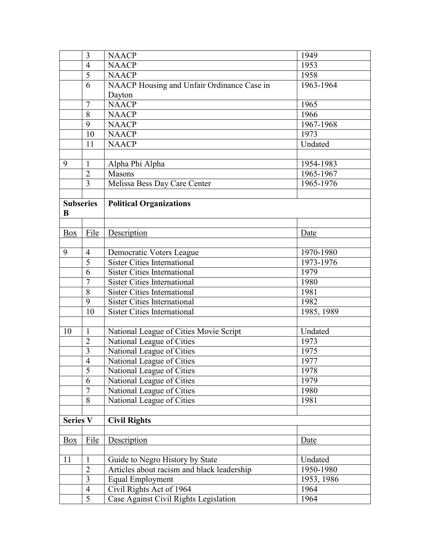|                       | 3              | <b>NAACP</b>                               | 1949       |
|-----------------------|----------------|--------------------------------------------|------------|
|                       | $\overline{4}$ | <b>NAACP</b>                               | 1953       |
|                       | 5              | <b>NAACP</b>                               | 1958       |
|                       | 6              | NAACP Housing and Unfair Ordinance Case in | 1963-1964  |
|                       |                | Dayton                                     |            |
|                       | $\overline{7}$ | <b>NAACP</b>                               | 1965       |
|                       | 8              | <b>NAACP</b>                               | 1966       |
|                       | 9              | <b>NAACP</b>                               | 1967-1968  |
|                       | 10             | <b>NAACP</b>                               | 1973       |
|                       | 11             | <b>NAACP</b>                               | Undated    |
| 9                     | $\mathbf{1}$   | Alpha Phi Alpha                            | 1954-1983  |
|                       | $\overline{2}$ | Masons                                     | 1965-1967  |
|                       | $\overline{3}$ | Melissa Bess Day Care Center               | 1965-1976  |
| <b>Subseries</b><br>B |                | <b>Political Organizations</b>             |            |
| Box                   | File           | Description                                | Date       |
|                       |                |                                            |            |
| 9                     | $\overline{4}$ | Democratic Voters League                   | 1970-1980  |
|                       | 5              | <b>Sister Cities International</b>         | 1973-1976  |
|                       | 6              | <b>Sister Cities International</b>         | 1979       |
|                       | $\overline{7}$ | <b>Sister Cities International</b>         | 1980       |
|                       | 8              | <b>Sister Cities International</b>         | 1981       |
|                       | 9              | <b>Sister Cities International</b>         | 1982       |
|                       | 10             | <b>Sister Cities International</b>         | 1985, 1989 |
|                       |                |                                            |            |
| 10                    | $\mathbf{1}$   | National League of Cities Movie Script     | Undated    |
|                       | $\overline{2}$ | National League of Cities                  | 1973       |
|                       | 3              | National League of Cities                  | 1975       |
|                       | $\overline{4}$ | National League of Cities                  | 1977       |
|                       | 5              | National League of Cities                  | 1978       |
|                       | 6              | National League of Cities                  | 1979       |
|                       | $\overline{7}$ | National League of Cities                  | 1980       |
|                       | 8              | National League of Cities                  | 1981       |
| <b>Series V</b>       |                | <b>Civil Rights</b>                        |            |
|                       |                |                                            |            |
| <b>Box</b>            | File           | Description                                | Date       |
|                       |                |                                            |            |
| 11                    | 1              | Guide to Negro History by State            | Undated    |
|                       | $\overline{2}$ | Articles about racism and black leadership | 1950-1980  |
|                       | 3              | <b>Equal Employment</b>                    | 1953, 1986 |
|                       | $\overline{4}$ | Civil Rights Act of 1964                   | 1964       |
|                       | $\overline{5}$ | Case Against Civil Rights Legislation      | 1964       |